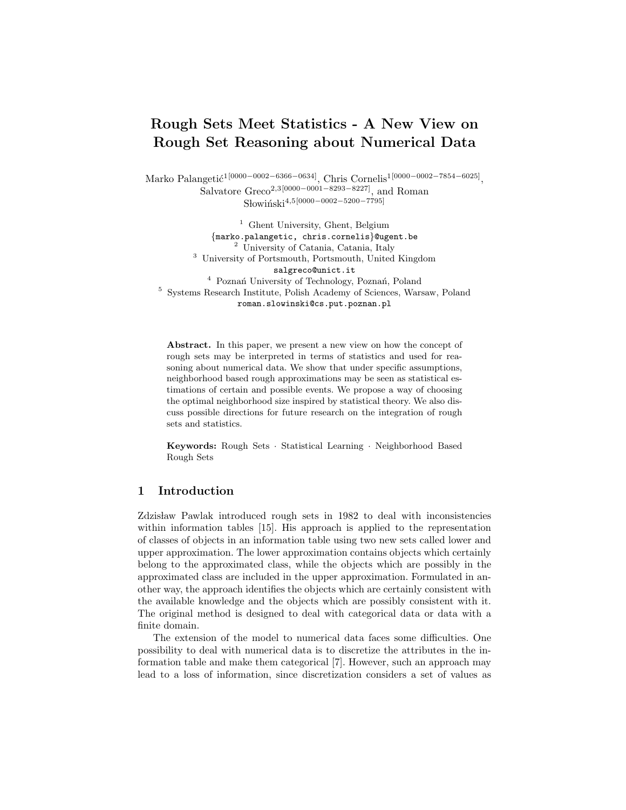# Rough Sets Meet Statistics - A New View on Rough Set Reasoning about Numerical Data

Marko Palangetić<sup>1[0000−0002−6366−0634]</sup>, Chris Cornelis<sup>1[0000−0002−7854−6025]</sup>, Salvatore Greco<sup>2,3[0000–0001–8293–8227]</sup>, and Roman Słowiński<sup>4,5</sup>[0000−0002−5200−7795]

<sup>1</sup> Ghent University, Ghent, Belgium {marko.palangetic, chris.cornelis}@ugent.be <sup>2</sup> University of Catania, Catania, Italy <sup>3</sup> University of Portsmouth, Portsmouth, United Kingdom salgreco@unict.it <sup>4</sup> Poznań University of Technology, Poznań, Poland <sup>5</sup> Systems Research Institute, Polish Academy of Sciences, Warsaw, Poland roman.slowinski@cs.put.poznan.pl

Abstract. In this paper, we present a new view on how the concept of rough sets may be interpreted in terms of statistics and used for reasoning about numerical data. We show that under specific assumptions, neighborhood based rough approximations may be seen as statistical estimations of certain and possible events. We propose a way of choosing the optimal neighborhood size inspired by statistical theory. We also discuss possible directions for future research on the integration of rough sets and statistics.

Keywords: Rough Sets · Statistical Learning · Neighborhood Based Rough Sets

# 1 Introduction

Zdzisław Pawlak introduced rough sets in 1982 to deal with inconsistencies within information tables [15]. His approach is applied to the representation of classes of objects in an information table using two new sets called lower and upper approximation. The lower approximation contains objects which certainly belong to the approximated class, while the objects which are possibly in the approximated class are included in the upper approximation. Formulated in another way, the approach identifies the objects which are certainly consistent with the available knowledge and the objects which are possibly consistent with it. The original method is designed to deal with categorical data or data with a finite domain.

The extension of the model to numerical data faces some difficulties. One possibility to deal with numerical data is to discretize the attributes in the information table and make them categorical [7]. However, such an approach may lead to a loss of information, since discretization considers a set of values as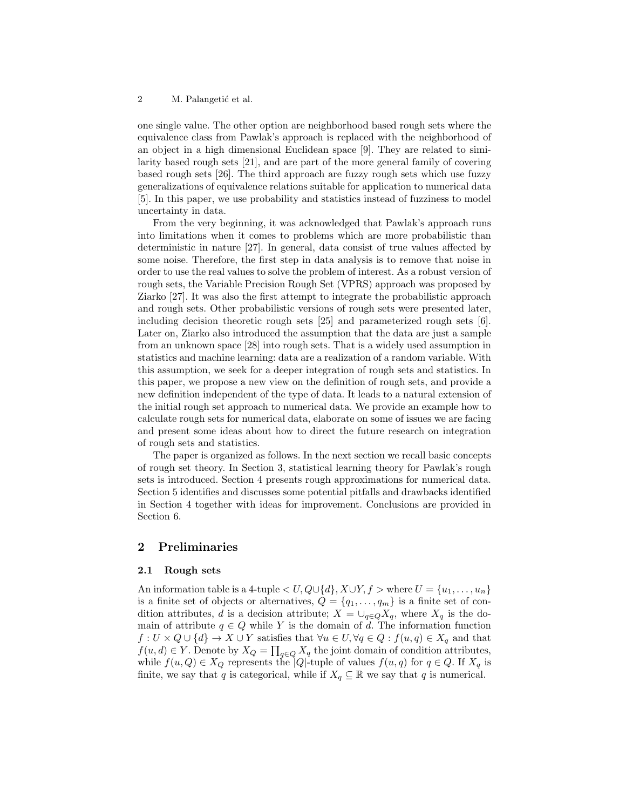one single value. The other option are neighborhood based rough sets where the equivalence class from Pawlak's approach is replaced with the neighborhood of an object in a high dimensional Euclidean space [9]. They are related to similarity based rough sets [21], and are part of the more general family of covering based rough sets [26]. The third approach are fuzzy rough sets which use fuzzy generalizations of equivalence relations suitable for application to numerical data [5]. In this paper, we use probability and statistics instead of fuzziness to model uncertainty in data.

From the very beginning, it was acknowledged that Pawlak's approach runs into limitations when it comes to problems which are more probabilistic than deterministic in nature [27]. In general, data consist of true values affected by some noise. Therefore, the first step in data analysis is to remove that noise in order to use the real values to solve the problem of interest. As a robust version of rough sets, the Variable Precision Rough Set (VPRS) approach was proposed by Ziarko [27]. It was also the first attempt to integrate the probabilistic approach and rough sets. Other probabilistic versions of rough sets were presented later, including decision theoretic rough sets [25] and parameterized rough sets [6]. Later on, Ziarko also introduced the assumption that the data are just a sample from an unknown space [28] into rough sets. That is a widely used assumption in statistics and machine learning: data are a realization of a random variable. With this assumption, we seek for a deeper integration of rough sets and statistics. In this paper, we propose a new view on the definition of rough sets, and provide a new definition independent of the type of data. It leads to a natural extension of the initial rough set approach to numerical data. We provide an example how to calculate rough sets for numerical data, elaborate on some of issues we are facing and present some ideas about how to direct the future research on integration of rough sets and statistics.

The paper is organized as follows. In the next section we recall basic concepts of rough set theory. In Section 3, statistical learning theory for Pawlak's rough sets is introduced. Section 4 presents rough approximations for numerical data. Section 5 identifies and discusses some potential pitfalls and drawbacks identified in Section 4 together with ideas for improvement. Conclusions are provided in Section 6.

### 2 Preliminaries

#### 2.1 Rough sets

An information table is a 4-tuple  $\langle U, Q \cup \{d\}, X \cup Y, f \rangle$  where  $U = \{u_1, \ldots, u_n\}$ is a finite set of objects or alternatives,  $Q = \{q_1, \ldots, q_m\}$  is a finite set of condition attributes, d is a decision attribute;  $X = \bigcup_{q \in Q} X_q$ , where  $X_q$  is the domain of attribute  $q \in Q$  while Y is the domain of d. The information function  $f: U \times Q \cup \{d\} \to X \cup Y$  satisfies that  $\forall u \in U, \forall q \in Q : f(u, q) \in X_q$  and that  $f(u, d) \in Y$ . Denote by  $X_Q = \prod_{q \in Q} X_q$  the joint domain of condition attributes, while  $f(u, Q) \in X_Q$  represents the  $|Q|$ -tuple of values  $f(u, q)$  for  $q \in Q$ . If  $X_q$  is finite, we say that q is categorical, while if  $X_q \subseteq \mathbb{R}$  we say that q is numerical.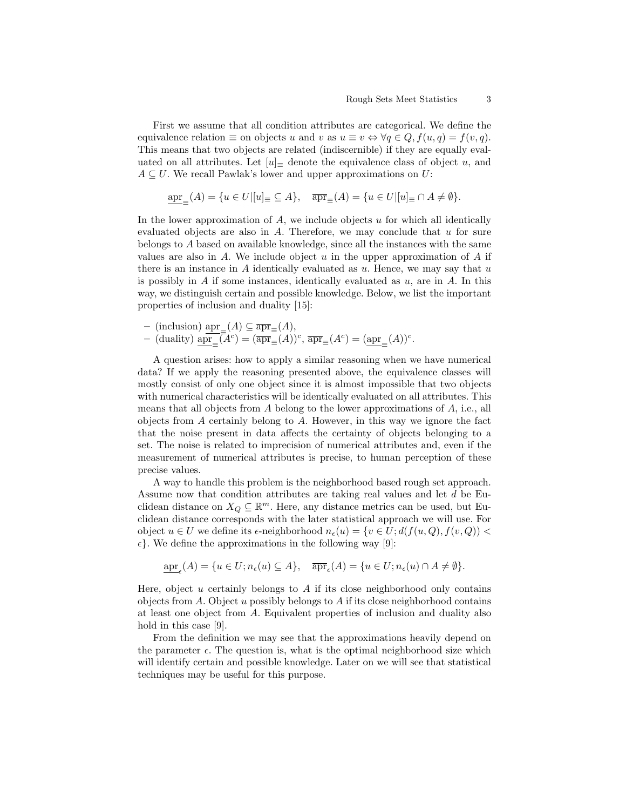First we assume that all condition attributes are categorical. We define the equivalence relation  $\equiv$  on objects u and v as  $u \equiv v \Leftrightarrow \forall q \in Q, f(u,q) = f(v,q)$ . This means that two objects are related (indiscernible) if they are equally evaluated on all attributes. Let  $[u]$  denote the equivalence class of object u, and  $A \subseteq U$ . We recall Pawlak's lower and upper approximations on U:

$$
\underline{\operatorname{apr}}_\equiv(A) = \{ u \in U | [u]_\equiv \subseteq A \}, \quad \overline{\operatorname{apr}}_\equiv(A) = \{ u \in U | [u]_\equiv \cap A \neq \emptyset \}.
$$

In the lower approximation of  $A$ , we include objects  $u$  for which all identically evaluated objects are also in  $A$ . Therefore, we may conclude that  $u$  for sure belongs to A based on available knowledge, since all the instances with the same values are also in A. We include object u in the upper approximation of  $A$  if there is an instance in  $A$  identically evaluated as  $u$ . Hence, we may say that  $u$ is possibly in  $A$  if some instances, identically evaluated as  $u$ , are in  $A$ . In this way, we distinguish certain and possible knowledge. Below, we list the important properties of inclusion and duality [15]:

– (inclusion)  $\underline{\text{apr}}_{\equiv}(A) \subseteq \overline{\text{apr}}_{\equiv}(A),$ – (duality)  $\underline{\text{apr}}_{\equiv}(A^c) = (\overline{\text{apr}}_{\equiv}(A))^c$ ,  $\overline{\text{apr}}_{\equiv}(A^c) = (\underline{\text{apr}}_{\equiv}(A))^c$ .

A question arises: how to apply a similar reasoning when we have numerical data? If we apply the reasoning presented above, the equivalence classes will mostly consist of only one object since it is almost impossible that two objects with numerical characteristics will be identically evaluated on all attributes. This means that all objects from A belong to the lower approximations of A, i.e., all objects from  $A$  certainly belong to  $A$ . However, in this way we ignore the fact that the noise present in data affects the certainty of objects belonging to a set. The noise is related to imprecision of numerical attributes and, even if the measurement of numerical attributes is precise, to human perception of these precise values.

A way to handle this problem is the neighborhood based rough set approach. Assume now that condition attributes are taking real values and let d be Euclidean distance on  $X_Q \subseteq \mathbb{R}^m$ . Here, any distance metrics can be used, but Euclidean distance corresponds with the later statistical approach we will use. For object  $u \in U$  we define its  $\epsilon$ -neighborhood  $n_{\epsilon}(u) = \{v \in U : d(f(u, Q), f(v, Q)) \leq \epsilon\}$  $\epsilon$ . We define the approximations in the following way [9]:

$$
\underline{\operatorname{apr}}_{\epsilon}(A) = \{ u \in U; n_{\epsilon}(u) \subseteq A \}, \quad \overline{\operatorname{apr}}_{\epsilon}(A) = \{ u \in U; n_{\epsilon}(u) \cap A \neq \emptyset \}.
$$

Here, object u certainly belongs to A if its close neighborhood only contains objects from  $A$ . Object  $u$  possibly belongs to  $A$  if its close neighborhood contains at least one object from A. Equivalent properties of inclusion and duality also hold in this case [9].

From the definition we may see that the approximations heavily depend on the parameter  $\epsilon$ . The question is, what is the optimal neighborhood size which will identify certain and possible knowledge. Later on we will see that statistical techniques may be useful for this purpose.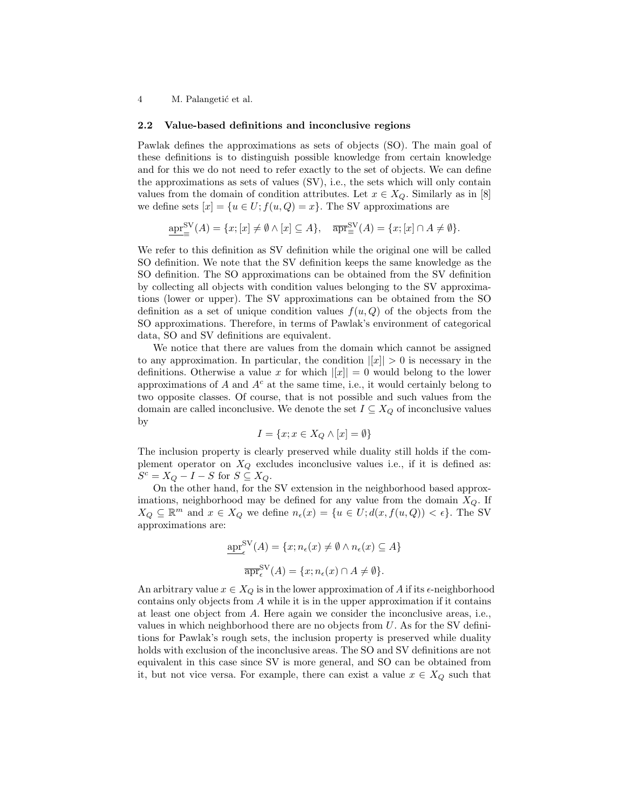#### 2.2 Value-based definitions and inconclusive regions

Pawlak defines the approximations as sets of objects (SO). The main goal of these definitions is to distinguish possible knowledge from certain knowledge and for this we do not need to refer exactly to the set of objects. We can define the approximations as sets of values (SV), i.e., the sets which will only contain values from the domain of condition attributes. Let  $x \in X_Q$ . Similarly as in [8] we define sets  $[x] = \{u \in U; f(u, Q) = x\}$ . The SV approximations are

$$
\underline{\mathsf{apr}}_\equiv^{\mathsf{SV}}(A) = \{x; [x]\neq \emptyset \land [x]\subseteq A\}, \quad \overline{\mathsf{apr}}_\equiv^{\mathsf{SV}}(A) = \{x; [x]\cap A\neq \emptyset\}.
$$

We refer to this definition as SV definition while the original one will be called SO definition. We note that the SV definition keeps the same knowledge as the SO definition. The SO approximations can be obtained from the SV definition by collecting all objects with condition values belonging to the SV approximations (lower or upper). The SV approximations can be obtained from the SO definition as a set of unique condition values  $f(u, Q)$  of the objects from the SO approximations. Therefore, in terms of Pawlak's environment of categorical data, SO and SV definitions are equivalent.

We notice that there are values from the domain which cannot be assigned to any approximation. In particular, the condition  $||x|| > 0$  is necessary in the definitions. Otherwise a value x for which  $||x|| = 0$  would belong to the lower approximations of A and  $A<sup>c</sup>$  at the same time, i.e., it would certainly belong to two opposite classes. Of course, that is not possible and such values from the domain are called inconclusive. We denote the set  $I \subseteq X_Q$  of inconclusive values by

$$
I = \{x; x \in X_Q \land [x] = \emptyset\}
$$

The inclusion property is clearly preserved while duality still holds if the complement operator on  $X_Q$  excludes inconclusive values i.e., if it is defined as:  $S^c = X_Q - I - S$  for  $S \subseteq X_Q$ .

On the other hand, for the SV extension in the neighborhood based approximations, neighborhood may be defined for any value from the domain  $X_Q$ . If  $X_Q \subseteq \mathbb{R}^m$  and  $x \in X_Q$  we define  $n_{\epsilon}(x) = \{u \in U; d(x, f(u, Q)) < \epsilon\}$ . The SV approximations are:

$$
\underbrace{\text{apr}_{\epsilon}^{\text{SV}}(A)} = \{x; n_{\epsilon}(x) \neq \emptyset \land n_{\epsilon}(x) \subseteq A\}
$$

$$
\overline{\text{apr}_{\epsilon}^{\text{SV}}}(A) = \{x; n_{\epsilon}(x) \cap A \neq \emptyset\}.
$$

An arbitrary value  $x \in X_Q$  is in the lower approximation of A if its  $\epsilon$ -neighborhood contains only objects from A while it is in the upper approximation if it contains at least one object from A. Here again we consider the inconclusive areas, i.e., values in which neighborhood there are no objects from  $U$ . As for the SV definitions for Pawlak's rough sets, the inclusion property is preserved while duality holds with exclusion of the inconclusive areas. The SO and SV definitions are not equivalent in this case since SV is more general, and SO can be obtained from it, but not vice versa. For example, there can exist a value  $x \in X_Q$  such that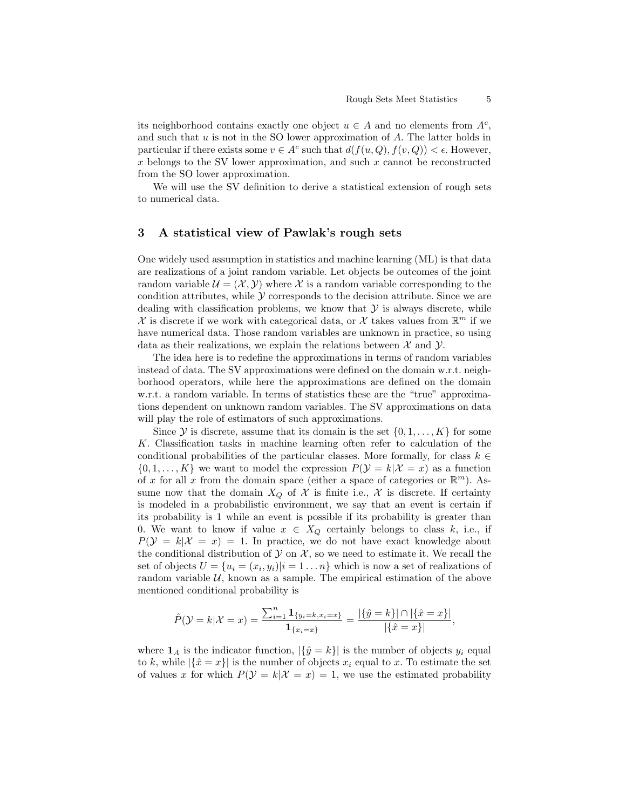its neighborhood contains exactly one object  $u \in A$  and no elements from  $A^c$ , and such that  $u$  is not in the SO lower approximation of  $A$ . The latter holds in particular if there exists some  $v \in A^c$  such that  $d(f(u, Q), f(v, Q)) < \epsilon$ . However, x belongs to the SV lower approximation, and such x cannot be reconstructed from the SO lower approximation.

We will use the SV definition to derive a statistical extension of rough sets to numerical data.

# 3 A statistical view of Pawlak's rough sets

One widely used assumption in statistics and machine learning (ML) is that data are realizations of a joint random variable. Let objects be outcomes of the joint random variable  $\mathcal{U} = (\mathcal{X}, \mathcal{Y})$  where X is a random variable corresponding to the condition attributes, while  $\mathcal Y$  corresponds to the decision attribute. Since we are dealing with classification problems, we know that  $Y$  is always discrete, while X is discrete if we work with categorical data, or X takes values from  $\mathbb{R}^m$  if we have numerical data. Those random variables are unknown in practice, so using data as their realizations, we explain the relations between  $\mathcal{X}$  and  $\mathcal{Y}$ .

The idea here is to redefine the approximations in terms of random variables instead of data. The SV approximations were defined on the domain w.r.t. neighborhood operators, while here the approximations are defined on the domain w.r.t. a random variable. In terms of statistics these are the "true" approximations dependent on unknown random variables. The SV approximations on data will play the role of estimators of such approximations.

Since Y is discrete, assume that its domain is the set  $\{0, 1, \ldots, K\}$  for some K. Classification tasks in machine learning often refer to calculation of the conditional probabilities of the particular classes. More formally, for class  $k \in \mathbb{Z}$  $\{0, 1, \ldots, K\}$  we want to model the expression  $P(\mathcal{Y} = k | \mathcal{X} = x)$  as a function of x for all x from the domain space (either a space of categories or  $\mathbb{R}^m$ ). Assume now that the domain  $X_Q$  of  $\mathcal X$  is finite i.e.,  $\mathcal X$  is discrete. If certainty is modeled in a probabilistic environment, we say that an event is certain if its probability is 1 while an event is possible if its probability is greater than 0. We want to know if value  $x \in X_Q$  certainly belongs to class k, i.e., if  $P(Y = k | X = x) = 1$ . In practice, we do not have exact knowledge about the conditional distribution of  $\mathcal Y$  on  $\mathcal X$ , so we need to estimate it. We recall the set of objects  $U = \{u_i = (x_i, y_i)|i = 1...n\}$  which is now a set of realizations of random variable  $U$ , known as a sample. The empirical estimation of the above mentioned conditional probability is

$$
\hat{P}(\mathcal{Y}=k|\mathcal{X}=x)=\frac{\sum_{i=1}^{n} \mathbf{1}_{\{y_i=k, x_i=x\}}}{\mathbf{1}_{\{x_i=x\}}}=\frac{|\{\hat{y}=k\}| \cap |\{\hat{x}=x\}|}{|\{\hat{x}=x\}|},
$$

where  $\mathbf{1}_A$  is the indicator function,  $|\{\hat{y} = k\}|$  is the number of objects  $y_i$  equal to k, while  $|\{\hat{x} = x\}|$  is the number of objects  $x_i$  equal to x. To estimate the set of values x for which  $P(\mathcal{Y} = k | \mathcal{X} = x) = 1$ , we use the estimated probability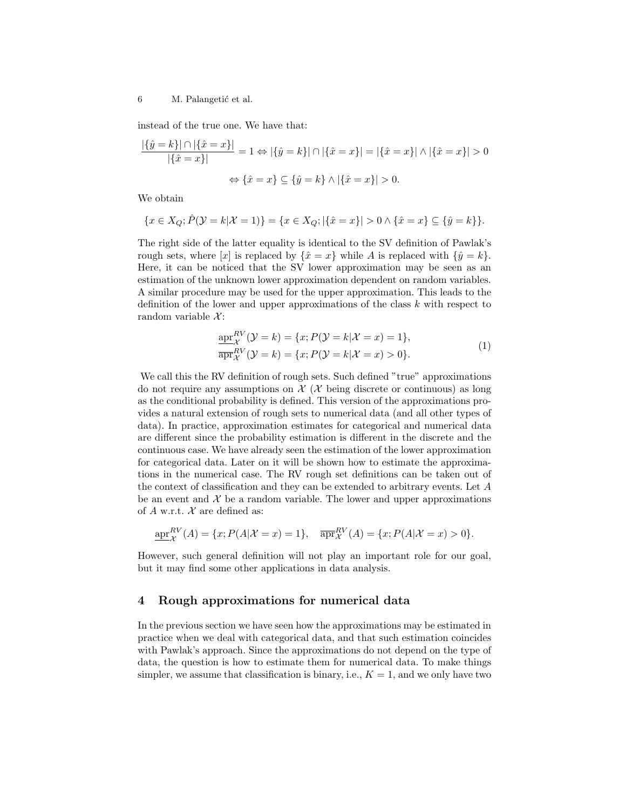instead of the true one. We have that:

$$
\frac{|\{\hat{y} = k\}| \cap |\{\hat{x} = x\}|}{|\{\hat{x} = x\}|} = 1 \Leftrightarrow |\{\hat{y} = k\}| \cap |\{\hat{x} = x\}| = |\{\hat{x} = x\}| \land |\{\hat{x} = x\}| > 0
$$

$$
\Leftrightarrow \{\hat{x} = x\} \subseteq \{\hat{y} = k\} \land |\{\hat{x} = x\}| > 0.
$$

We obtain

$$
\{x \in X_Q; \hat{P}(\mathcal{Y} = k|\mathcal{X} = 1)\} = \{x \in X_Q; |\{\hat{x} = x\}| > 0 \land \{\hat{x} = x\} \subseteq \{\hat{y} = k\}.
$$

The right side of the latter equality is identical to the SV definition of Pawlak's rough sets, where [x] is replaced by  $\{\hat{x} = x\}$  while A is replaced with  $\{\hat{y} = k\}$ . Here, it can be noticed that the SV lower approximation may be seen as an estimation of the unknown lower approximation dependent on random variables. A similar procedure may be used for the upper approximation. This leads to the definition of the lower and upper approximations of the class  $k$  with respect to random variable  $\mathcal{X}$ :

$$
\underbrace{\text{apr}}_{\mathcal{X}}^{RV}(\mathcal{Y} = k) = \{x; P(\mathcal{Y} = k | \mathcal{X} = x) = 1\},
$$
\n
$$
\overline{\text{apr}}_{\mathcal{X}}^{IV}(\mathcal{Y} = k) = \{x; P(\mathcal{Y} = k | \mathcal{X} = x) > 0\}.
$$
\n
$$
(1)
$$

We call this the RV definition of rough sets. Such defined "true" approximations do not require any assumptions on  $\mathcal{X}(\mathcal{X})$  being discrete or continuous) as long as the conditional probability is defined. This version of the approximations provides a natural extension of rough sets to numerical data (and all other types of data). In practice, approximation estimates for categorical and numerical data are different since the probability estimation is different in the discrete and the continuous case. We have already seen the estimation of the lower approximation for categorical data. Later on it will be shown how to estimate the approximations in the numerical case. The RV rough set definitions can be taken out of the context of classification and they can be extended to arbitrary events. Let A be an event and  $\mathcal X$  be a random variable. The lower and upper approximations of  $A$  w.r.t.  $X$  are defined as:

$$
\underline{\mathrm{apr}}_{\mathcal{X}}^{RV}(A) = \{x; P(A | \mathcal{X} = x) = 1\}, \quad \overline{\mathrm{apr}}_{\mathcal{X}}^{RV}(A) = \{x; P(A | \mathcal{X} = x) > 0\}.
$$

However, such general definition will not play an important role for our goal, but it may find some other applications in data analysis.

# 4 Rough approximations for numerical data

In the previous section we have seen how the approximations may be estimated in practice when we deal with categorical data, and that such estimation coincides with Pawlak's approach. Since the approximations do not depend on the type of data, the question is how to estimate them for numerical data. To make things simpler, we assume that classification is binary, i.e.,  $K = 1$ , and we only have two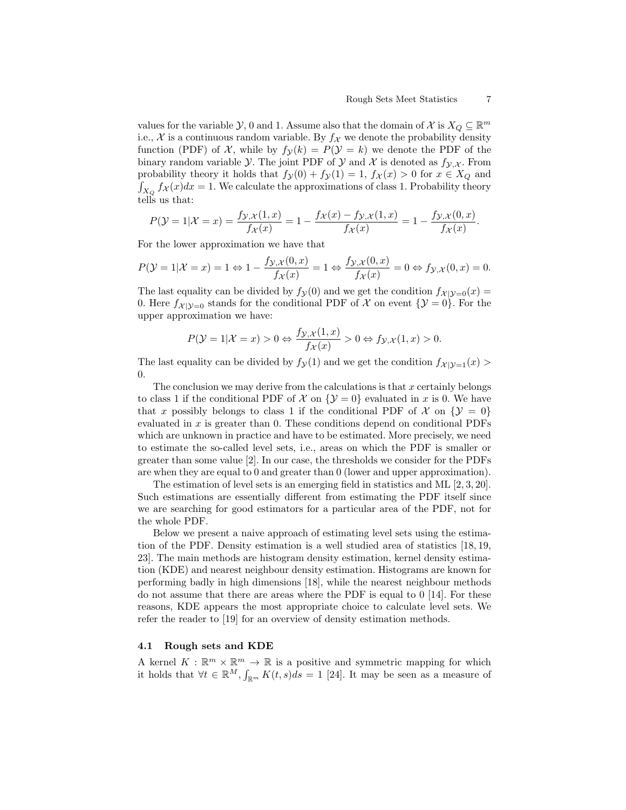values for the variable  $\mathcal{Y}$ , 0 and 1. Assume also that the domain of  $\mathcal{X}$  is  $X_Q \subseteq \mathbb{R}^m$ i.e.,  $\mathcal X$  is a continuous random variable. By  $f_{\mathcal X}$  we denote the probability density function (PDF) of X, while by  $f_{\mathcal{Y}}(k) = P(\mathcal{Y} = k)$  we denote the PDF of the binary random variable  $\mathcal Y$ . The joint PDF of  $\mathcal Y$  and  $\mathcal X$  is denoted as  $f_{\mathcal Y,\mathcal X}$ . From probability theory it holds that  $f_y(0) + f_y(1) = 1$ ,  $f_x(x) > 0$  for  $x \in X_Q$  and  $\int_{X_Q} f_X(x) dx = 1$ . We calculate the approximations of class 1. Probability theory tells us that:

$$
P(\mathcal{Y} = 1 | \mathcal{X} = x) = \frac{f_{\mathcal{Y}, \mathcal{X}}(1, x)}{f_{\mathcal{X}}(x)} = 1 - \frac{f_{\mathcal{X}}(x) - f_{\mathcal{Y}, \mathcal{X}}(1, x)}{f_{\mathcal{X}}(x)} = 1 - \frac{f_{\mathcal{Y}, \mathcal{X}}(0, x)}{f_{\mathcal{X}}(x)}.
$$

For the lower approximation we have that

$$
P(\mathcal{Y} = 1 | \mathcal{X} = x) = 1 \Leftrightarrow 1 - \frac{f_{\mathcal{Y}, \mathcal{X}}(0, x)}{f_{\mathcal{X}}(x)} = 1 \Leftrightarrow \frac{f_{\mathcal{Y}, \mathcal{X}}(0, x)}{f_{\mathcal{X}}(x)} = 0 \Leftrightarrow f_{\mathcal{Y}, \mathcal{X}}(0, x) = 0.
$$

The last equality can be divided by  $f_{\mathcal{Y}}(0)$  and we get the condition  $f_{\mathcal{X}|\mathcal{Y}=0}(x) =$ 0. Here  $f_{\mathcal{X}|\mathcal{Y}=0}$  stands for the conditional PDF of X on event  $\{\mathcal{Y}=0\}$ . For the upper approximation we have:

$$
P(\mathcal{Y} = 1 | \mathcal{X} = x) > 0 \Leftrightarrow \frac{f_{\mathcal{Y}, \mathcal{X}}(1, x)}{f_{\mathcal{X}}(x)} > 0 \Leftrightarrow f_{\mathcal{Y}, \mathcal{X}}(1, x) > 0.
$$

The last equality can be divided by  $f_{\mathcal{Y}}(1)$  and we get the condition  $f_{\mathcal{X}|\mathcal{Y}=1}(x)$ 0.

The conclusion we may derive from the calculations is that  $x$  certainly belongs to class 1 if the conditional PDF of  $\mathcal X$  on  $\{\mathcal Y = 0\}$  evaluated in x is 0. We have that x possibly belongs to class 1 if the conditional PDF of  $\mathcal X$  on  $\{\mathcal Y = 0\}$ evaluated in x is greater than 0. These conditions depend on conditional PDFs which are unknown in practice and have to be estimated. More precisely, we need to estimate the so-called level sets, i.e., areas on which the PDF is smaller or greater than some value [2]. In our case, the thresholds we consider for the PDFs are when they are equal to 0 and greater than 0 (lower and upper approximation).

The estimation of level sets is an emerging field in statistics and ML [2, 3, 20]. Such estimations are essentially different from estimating the PDF itself since we are searching for good estimators for a particular area of the PDF, not for the whole PDF.

Below we present a naive approach of estimating level sets using the estimation of the PDF. Density estimation is a well studied area of statistics [18, 19, 23]. The main methods are histogram density estimation, kernel density estimation (KDE) and nearest neighbour density estimation. Histograms are known for performing badly in high dimensions [18], while the nearest neighbour methods do not assume that there are areas where the PDF is equal to 0 [14]. For these reasons, KDE appears the most appropriate choice to calculate level sets. We refer the reader to [19] for an overview of density estimation methods.

#### 4.1 Rough sets and KDE

A kernel  $K : \mathbb{R}^m \times \mathbb{R}^m \to \mathbb{R}$  is a positive and symmetric mapping for which it holds that  $\forall t \in \mathbb{R}^M$ ,  $\int_{\mathbb{R}^m} K(t, s) ds = 1$  [24]. It may be seen as a measure of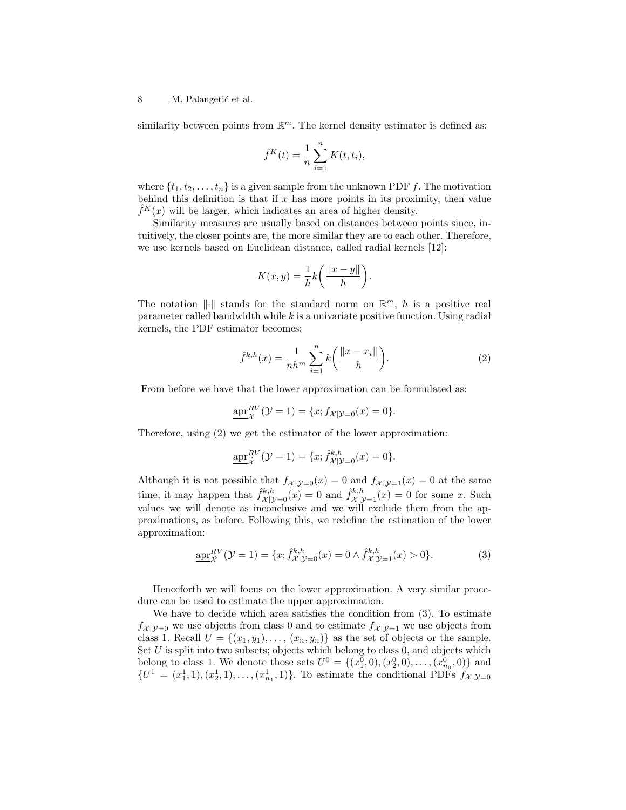similarity between points from  $\mathbb{R}^m$ . The kernel density estimator is defined as:

$$
\hat{f}^{K}(t) = \frac{1}{n} \sum_{i=1}^{n} K(t, t_i),
$$

where  $\{t_1, t_2, \ldots, t_n\}$  is a given sample from the unknown PDF f. The motivation behind this definition is that if  $x$  has more points in its proximity, then value  $\hat{f}^K(x)$  will be larger, which indicates an area of higher density.

Similarity measures are usually based on distances between points since, intuitively, the closer points are, the more similar they are to each other. Therefore, we use kernels based on Euclidean distance, called radial kernels [12]:

$$
K(x,y) = \frac{1}{h}k \bigg(\frac{\|x-y\|}{h}\bigg).
$$

The notation  $\|\cdot\|$  stands for the standard norm on  $\mathbb{R}^m$ , h is a positive real parameter called bandwidth while  $k$  is a univariate positive function. Using radial kernels, the PDF estimator becomes:

$$
\hat{f}^{k,h}(x) = \frac{1}{nh^m} \sum_{i=1}^n k \bigg( \frac{\|x - x_i\|}{h} \bigg). \tag{2}
$$

From before we have that the lower approximation can be formulated as:

$$
\underline{\mathrm{apr}}_{\mathcal{X}}^{RV}(\mathcal{Y}=1) = \{x; f_{\mathcal{X}|\mathcal{Y}=0}(x) = 0\}.
$$

Therefore, using (2) we get the estimator of the lower approximation:

$$
\underline{\text{apr}}_{\hat{\mathcal{X}}}^{RV}(\mathcal{Y} = 1) = \{x; \hat{f}_{\mathcal{X}|\mathcal{Y}=0}^{k,h}(x) = 0\}.
$$

Although it is not possible that  $f_{\mathcal{X}|\mathcal{Y}=0}(x) = 0$  and  $f_{\mathcal{X}|\mathcal{Y}=1}(x) = 0$  at the same time, it may happen that  $\hat{f}_{\mathcal{X}|\mathcal{Y}=0}^{k,h}(x) = 0$  and  $\hat{f}_{\mathcal{X}|\mathcal{Y}=1}^{k,h}(x) = 0$  for some x. Such values we will denote as inconclusive and we will exclude them from the approximations, as before. Following this, we redefine the estimation of the lower approximation:

$$
\underline{\text{apr}}_{\hat{\mathcal{X}}}^{RV}(\mathcal{Y}=1) = \{x; \hat{f}_{\mathcal{X}|\mathcal{Y}=0}^{k,h}(x) = 0 \land \hat{f}_{\mathcal{X}|\mathcal{Y}=1}^{k,h}(x) > 0\}.
$$
 (3)

Henceforth we will focus on the lower approximation. A very similar procedure can be used to estimate the upper approximation.

We have to decide which area satisfies the condition from (3). To estimate  $f_{\mathcal{X}|\mathcal{Y}=0}$  we use objects from class 0 and to estimate  $f_{\mathcal{X}|\mathcal{Y}=1}$  we use objects from class 1. Recall  $U = \{(x_1, y_1), \ldots, (x_n, y_n)\}\$ as the set of objects or the sample. Set  $U$  is split into two subsets; objects which belong to class  $0$ , and objects which belong to class 1. We denote those sets  $U^0 = \{(x_1^0, 0), (x_2^0, 0), \ldots, (x_{n_0}^0, 0)\}$  and  $\{U^1 = (x_1^1, 1), (x_2^1, 1), \ldots, (x_{n_1}^1, 1)\}\.$  To estimate the conditional PDFs  $f_{\mathcal{X}|\mathcal{Y}=0}$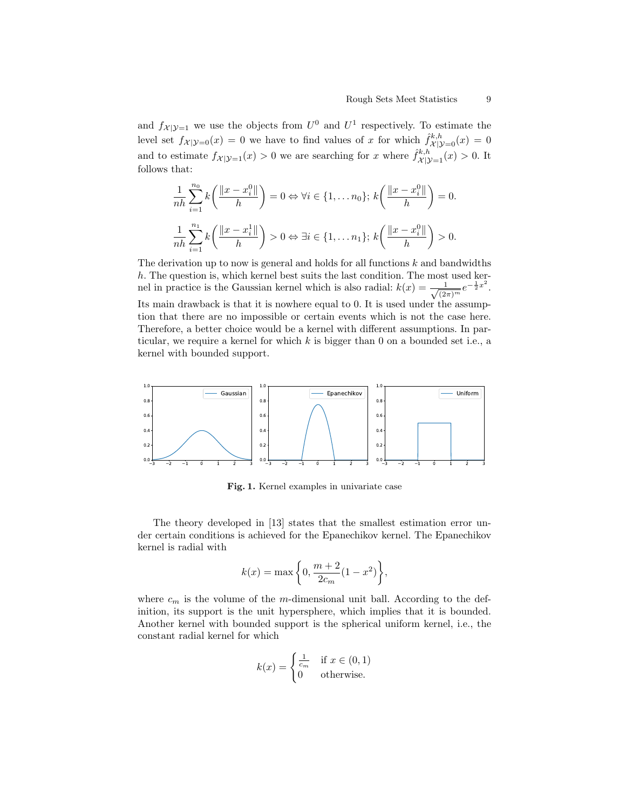and  $f_{\mathcal{X}|\mathcal{Y}=1}$  we use the objects from  $U^0$  and  $U^1$  respectively. To estimate the level set  $f_{\mathcal{X}|\mathcal{Y}=0}(x) = 0$  we have to find values of x for which  $\hat{f}_{\mathcal{X}|\mathcal{Y}=0}^{k,h}(x) = 0$ and to estimate  $f_{\mathcal{X}|\mathcal{Y}=1}(x) > 0$  we are searching for x where  $\hat{f}_{\mathcal{X}|\mathcal{Y}=1}^{k,h}(x) > 0$ . It follows that:

$$
\frac{1}{nh} \sum_{i=1}^{n_0} k\left(\frac{\|x - x_i^0\|}{h}\right) = 0 \Leftrightarrow \forall i \in \{1, \dots n_0\}; k\left(\frac{\|x - x_i^0\|}{h}\right) = 0.
$$
  

$$
\frac{1}{nh} \sum_{i=1}^{n_1} k\left(\frac{\|x - x_i^1\|}{h}\right) > 0 \Leftrightarrow \exists i \in \{1, \dots n_1\}; k\left(\frac{\|x - x_i^0\|}{h}\right) > 0.
$$

The derivation up to now is general and holds for all functions  $k$  and bandwidths h. The question is, which kernel best suits the last condition. The most used kernel in practice is the Gaussian kernel which is also radial:  $k(x) = \frac{1}{\sqrt{2}}$  $\frac{1}{(2\pi)^m}e^{-\frac{1}{2}x^2}.$ Its main drawback is that it is nowhere equal to 0. It is used under the assumption that there are no impossible or certain events which is not the case here.

Therefore, a better choice would be a kernel with different assumptions. In particular, we require a kernel for which  $k$  is bigger than 0 on a bounded set i.e., a kernel with bounded support.



Fig. 1. Kernel examples in univariate case

The theory developed in [13] states that the smallest estimation error under certain conditions is achieved for the Epanechikov kernel. The Epanechikov kernel is radial with

$$
k(x) = \max\bigg\{0, \frac{m+2}{2c_m}(1-x^2)\bigg\},\,
$$

where  $c_m$  is the volume of the m-dimensional unit ball. According to the definition, its support is the unit hypersphere, which implies that it is bounded. Another kernel with bounded support is the spherical uniform kernel, i.e., the constant radial kernel for which

$$
k(x) = \begin{cases} \frac{1}{c_m} & \text{if } x \in (0, 1) \\ 0 & \text{otherwise.} \end{cases}
$$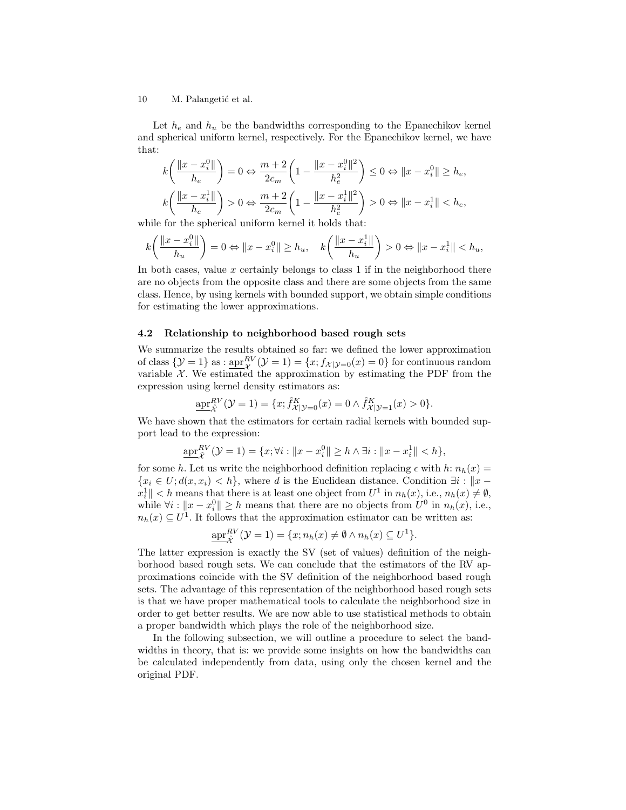Let  $h_e$  and  $h_u$  be the bandwidths corresponding to the Epanechikov kernel and spherical uniform kernel, respectively. For the Epanechikov kernel, we have that:

$$
\begin{split} k&\bigg(\frac{\|x-x^0_i\|}{h_e}\bigg)=0\Leftrightarrow \frac{m+2}{2c_m}\bigg(1-\frac{\|x-x^0_i\|^2}{h_e^2}\bigg)\leq 0\Leftrightarrow \|x-x^0_i\|\geq h_e,\\ k&\bigg(\frac{\|x-x^1_i\|}{h_e}\bigg)>0\Leftrightarrow \frac{m+2}{2c_m}\bigg(1-\frac{\|x-x^1_i\|^2}{h_e^2}\bigg)>0\Leftrightarrow \|x-x^1_i\|< h_e,\\ k&\bigg). \end{split}
$$

while for the spherical uniform kernel it holds that:

$$
k\left(\frac{\|x-x_i^0\|}{h_u}\right) = 0 \Leftrightarrow \|x-x_i^0\| \ge h_u, \quad k\left(\frac{\|x-x_i^1\|}{h_u}\right) > 0 \Leftrightarrow \|x-x_i^1\| < h_u,
$$

In both cases, value  $x$  certainly belongs to class 1 if in the neighborhood there are no objects from the opposite class and there are some objects from the same class. Hence, by using kernels with bounded support, we obtain simple conditions for estimating the lower approximations.

#### 4.2 Relationship to neighborhood based rough sets

We summarize the results obtained so far: we defined the lower approximation of class  $\{\mathcal{Y} = 1\}$  as :  $\underline{\text{apr}}_{\mathcal{X}}^{RV}(\mathcal{Y} = 1) = \{x; f_{\mathcal{X}|\mathcal{Y}=0}(x) = 0\}$  for continuous random variable  $\mathcal{X}$ . We estimated the approximation by estimating the PDF from the expression using kernel density estimators as:

$$
\underline{\mathrm{apr}}_{\hat{\mathcal{X}}}^{RV}(\mathcal{Y}=1) = \{x; \hat{f}_{\mathcal{X}|\mathcal{Y}=0}^{K}(x) = 0 \land \hat{f}_{\mathcal{X}|\mathcal{Y}=1}^{K}(x) > 0\}.
$$

We have shown that the estimators for certain radial kernels with bounded support lead to the expression:

$$
\underline{\mathrm{apr}}_{\hat{\mathcal{X}}}^{RV}(\mathcal{Y}=1) = \{x; \forall i : ||x - x_i^0|| \ge h \land \exists i : ||x - x_i^1|| < h\},\
$$

for some h. Let us write the neighborhood definition replacing  $\epsilon$  with h:  $n_h(x) =$  ${x_i \in U; d(x, x_i) < h}$ , where d is the Euclidean distance. Condition  $\exists i : ||x$  $x_i^1$  |  $\lt h$  means that there is at least one object from  $U^1$  in  $n_h(x)$ , i.e.,  $n_h(x) \neq \emptyset$ , while  $\forall i : \|x - x_i^0\| \geq h$  means that there are no objects from  $U^0$  in  $n_h(x)$ , i.e.,  $n_h(x) \subseteq U^1$ . It follows that the approximation estimator can be written as:

$$
\underline{\mathrm{apr}}_{\hat{\mathcal{X}}}^{RV}(\mathcal{Y}=1) = \{x; n_h(x) \neq \emptyset \land n_h(x) \subseteq U^1\}.
$$

The latter expression is exactly the SV (set of values) definition of the neighborhood based rough sets. We can conclude that the estimators of the RV approximations coincide with the SV definition of the neighborhood based rough sets. The advantage of this representation of the neighborhood based rough sets is that we have proper mathematical tools to calculate the neighborhood size in order to get better results. We are now able to use statistical methods to obtain a proper bandwidth which plays the role of the neighborhood size.

In the following subsection, we will outline a procedure to select the bandwidths in theory, that is: we provide some insights on how the bandwidths can be calculated independently from data, using only the chosen kernel and the original PDF.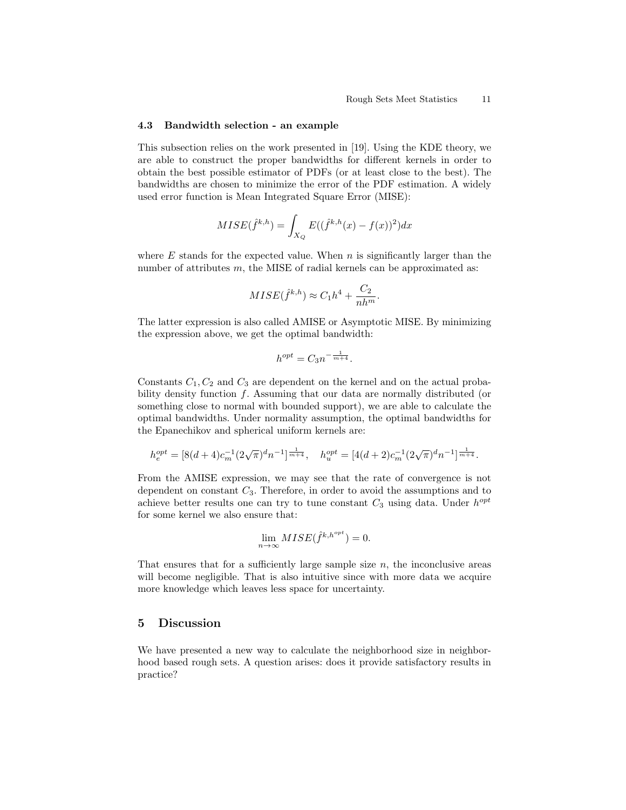#### 4.3 Bandwidth selection - an example

This subsection relies on the work presented in [19]. Using the KDE theory, we are able to construct the proper bandwidths for different kernels in order to obtain the best possible estimator of PDFs (or at least close to the best). The bandwidths are chosen to minimize the error of the PDF estimation. A widely used error function is Mean Integrated Square Error (MISE):

$$
MISE(\hat{f}^{k,h}) = \int_{X_Q} E((\hat{f}^{k,h}(x) - f(x))^2) dx
$$

where  $E$  stands for the expected value. When n is significantly larger than the number of attributes m, the MISE of radial kernels can be approximated as:

$$
MISE(\hat{f}^{k,h}) \approx C_1 h^4 + \frac{C_2}{nh^m}.
$$

The latter expression is also called AMISE or Asymptotic MISE. By minimizing the expression above, we get the optimal bandwidth:

$$
h^{opt} = C_3 n^{-\frac{1}{m+4}}.
$$

Constants  $C_1, C_2$  and  $C_3$  are dependent on the kernel and on the actual probability density function f. Assuming that our data are normally distributed (or something close to normal with bounded support), we are able to calculate the optimal bandwidths. Under normality assumption, the optimal bandwidths for the Epanechikov and spherical uniform kernels are:

$$
h_e^{opt} = [8(d+4)c_m^{-1}(2\sqrt{\pi})^dn^{-1}]^{\frac{1}{m+4}}, \quad h_u^{opt} = [4(d+2)c_m^{-1}(2\sqrt{\pi})^dn^{-1}]^{\frac{1}{m+4}}.
$$

From the AMISE expression, we may see that the rate of convergence is not dependent on constant  $C_3$ . Therefore, in order to avoid the assumptions and to achieve better results one can try to tune constant  $C_3$  using data. Under  $h^{opt}$ for some kernel we also ensure that:

$$
\lim_{n \to \infty} MISE(\hat{f}^{k, h^{opt}}) = 0.
$$

That ensures that for a sufficiently large sample size  $n$ , the inconclusive areas will become negligible. That is also intuitive since with more data we acquire more knowledge which leaves less space for uncertainty.

# 5 Discussion

We have presented a new way to calculate the neighborhood size in neighborhood based rough sets. A question arises: does it provide satisfactory results in practice?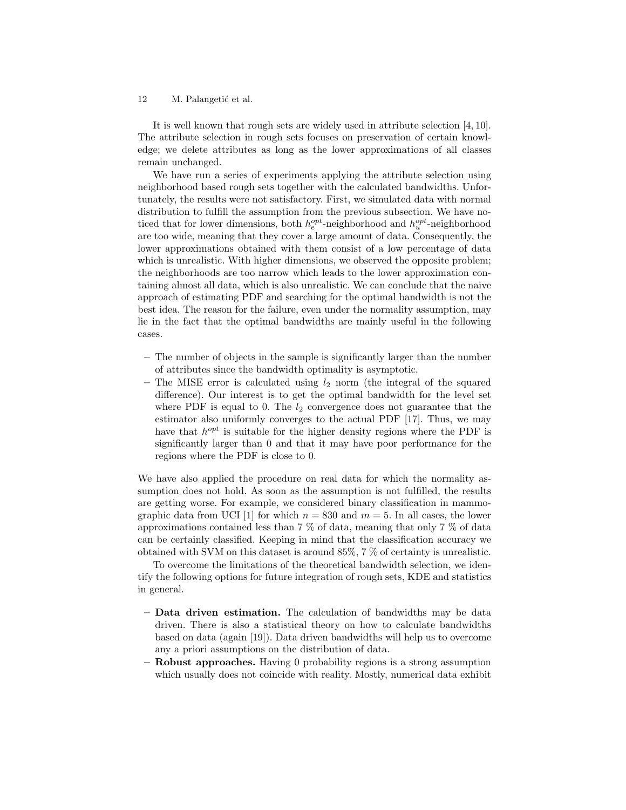It is well known that rough sets are widely used in attribute selection [4, 10]. The attribute selection in rough sets focuses on preservation of certain knowledge; we delete attributes as long as the lower approximations of all classes remain unchanged.

We have run a series of experiments applying the attribute selection using neighborhood based rough sets together with the calculated bandwidths. Unfortunately, the results were not satisfactory. First, we simulated data with normal distribution to fulfill the assumption from the previous subsection. We have noticed that for lower dimensions, both  $h_e^{opt}$ -neighborhood and  $h_u^{opt}$ -neighborhood are too wide, meaning that they cover a large amount of data. Consequently, the lower approximations obtained with them consist of a low percentage of data which is unrealistic. With higher dimensions, we observed the opposite problem; the neighborhoods are too narrow which leads to the lower approximation containing almost all data, which is also unrealistic. We can conclude that the naive approach of estimating PDF and searching for the optimal bandwidth is not the best idea. The reason for the failure, even under the normality assumption, may lie in the fact that the optimal bandwidths are mainly useful in the following cases.

- The number of objects in the sample is significantly larger than the number of attributes since the bandwidth optimality is asymptotic.
- The MISE error is calculated using  $l_2$  norm (the integral of the squared difference). Our interest is to get the optimal bandwidth for the level set where PDF is equal to 0. The  $l_2$  convergence does not guarantee that the estimator also uniformly converges to the actual PDF [17]. Thus, we may have that  $h^{opt}$  is suitable for the higher density regions where the PDF is significantly larger than 0 and that it may have poor performance for the regions where the PDF is close to 0.

We have also applied the procedure on real data for which the normality assumption does not hold. As soon as the assumption is not fulfilled, the results are getting worse. For example, we considered binary classification in mammographic data from UCI [1] for which  $n = 830$  and  $m = 5$ . In all cases, the lower approximations contained less than 7 % of data, meaning that only 7 % of data can be certainly classified. Keeping in mind that the classification accuracy we obtained with SVM on this dataset is around 85%, 7 % of certainty is unrealistic.

To overcome the limitations of the theoretical bandwidth selection, we identify the following options for future integration of rough sets, KDE and statistics in general.

- Data driven estimation. The calculation of bandwidths may be data driven. There is also a statistical theory on how to calculate bandwidths based on data (again [19]). Data driven bandwidths will help us to overcome any a priori assumptions on the distribution of data.
- Robust approaches. Having 0 probability regions is a strong assumption which usually does not coincide with reality. Mostly, numerical data exhibit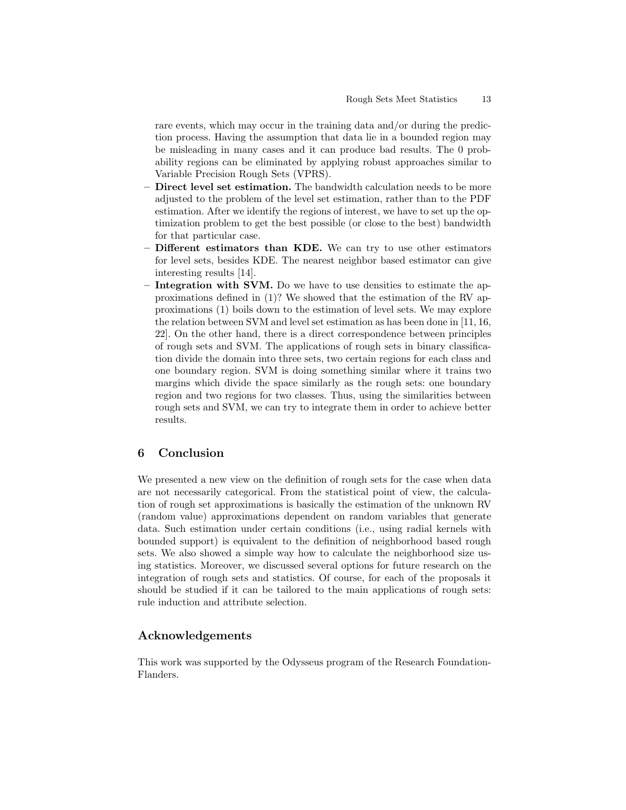rare events, which may occur in the training data and/or during the prediction process. Having the assumption that data lie in a bounded region may be misleading in many cases and it can produce bad results. The 0 probability regions can be eliminated by applying robust approaches similar to Variable Precision Rough Sets (VPRS).

- Direct level set estimation. The bandwidth calculation needs to be more adjusted to the problem of the level set estimation, rather than to the PDF estimation. After we identify the regions of interest, we have to set up the optimization problem to get the best possible (or close to the best) bandwidth for that particular case.
- Different estimators than KDE. We can try to use other estimators for level sets, besides KDE. The nearest neighbor based estimator can give interesting results [14].
- Integration with SVM. Do we have to use densities to estimate the approximations defined in (1)? We showed that the estimation of the RV approximations (1) boils down to the estimation of level sets. We may explore the relation between SVM and level set estimation as has been done in [11, 16, 22]. On the other hand, there is a direct correspondence between principles of rough sets and SVM. The applications of rough sets in binary classification divide the domain into three sets, two certain regions for each class and one boundary region. SVM is doing something similar where it trains two margins which divide the space similarly as the rough sets: one boundary region and two regions for two classes. Thus, using the similarities between rough sets and SVM, we can try to integrate them in order to achieve better results.

# 6 Conclusion

We presented a new view on the definition of rough sets for the case when data are not necessarily categorical. From the statistical point of view, the calculation of rough set approximations is basically the estimation of the unknown RV (random value) approximations dependent on random variables that generate data. Such estimation under certain conditions (i.e., using radial kernels with bounded support) is equivalent to the definition of neighborhood based rough sets. We also showed a simple way how to calculate the neighborhood size using statistics. Moreover, we discussed several options for future research on the integration of rough sets and statistics. Of course, for each of the proposals it should be studied if it can be tailored to the main applications of rough sets: rule induction and attribute selection.

# Acknowledgements

This work was supported by the Odysseus program of the Research Foundation-Flanders.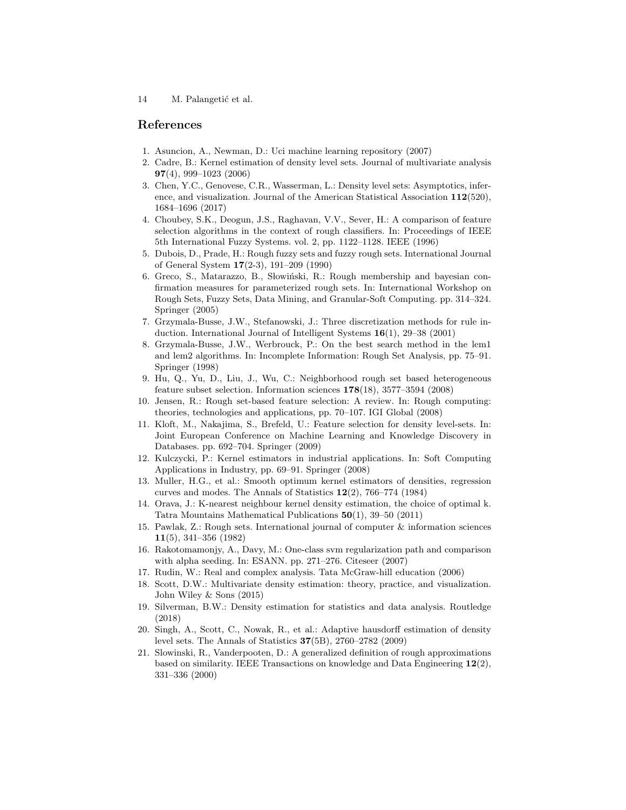# References

- 1. Asuncion, A., Newman, D.: Uci machine learning repository (2007)
- 2. Cadre, B.: Kernel estimation of density level sets. Journal of multivariate analysis 97(4), 999–1023 (2006)
- 3. Chen, Y.C., Genovese, C.R., Wasserman, L.: Density level sets: Asymptotics, inference, and visualization. Journal of the American Statistical Association 112(520), 1684–1696 (2017)
- 4. Choubey, S.K., Deogun, J.S., Raghavan, V.V., Sever, H.: A comparison of feature selection algorithms in the context of rough classifiers. In: Proceedings of IEEE 5th International Fuzzy Systems. vol. 2, pp. 1122–1128. IEEE (1996)
- 5. Dubois, D., Prade, H.: Rough fuzzy sets and fuzzy rough sets. International Journal of General System 17(2-3), 191–209 (1990)
- 6. Greco, S., Matarazzo, B., Słowiński, R.: Rough membership and bayesian confirmation measures for parameterized rough sets. In: International Workshop on Rough Sets, Fuzzy Sets, Data Mining, and Granular-Soft Computing. pp. 314–324. Springer (2005)
- 7. Grzymala-Busse, J.W., Stefanowski, J.: Three discretization methods for rule induction. International Journal of Intelligent Systems 16(1), 29–38 (2001)
- 8. Grzymala-Busse, J.W., Werbrouck, P.: On the best search method in the lem1 and lem2 algorithms. In: Incomplete Information: Rough Set Analysis, pp. 75–91. Springer (1998)
- 9. Hu, Q., Yu, D., Liu, J., Wu, C.: Neighborhood rough set based heterogeneous feature subset selection. Information sciences 178(18), 3577–3594 (2008)
- 10. Jensen, R.: Rough set-based feature selection: A review. In: Rough computing: theories, technologies and applications, pp. 70–107. IGI Global (2008)
- 11. Kloft, M., Nakajima, S., Brefeld, U.: Feature selection for density level-sets. In: Joint European Conference on Machine Learning and Knowledge Discovery in Databases. pp. 692–704. Springer (2009)
- 12. Kulczycki, P.: Kernel estimators in industrial applications. In: Soft Computing Applications in Industry, pp. 69–91. Springer (2008)
- 13. Muller, H.G., et al.: Smooth optimum kernel estimators of densities, regression curves and modes. The Annals of Statistics  $12(2)$ , 766–774 (1984)
- 14. Orava, J.: K-nearest neighbour kernel density estimation, the choice of optimal k. Tatra Mountains Mathematical Publications 50(1), 39–50 (2011)
- 15. Pawlak, Z.: Rough sets. International journal of computer & information sciences 11(5), 341–356 (1982)
- 16. Rakotomamonjy, A., Davy, M.: One-class svm regularization path and comparison with alpha seeding. In: ESANN. pp. 271–276. Citeseer (2007)
- 17. Rudin, W.: Real and complex analysis. Tata McGraw-hill education (2006)
- 18. Scott, D.W.: Multivariate density estimation: theory, practice, and visualization. John Wiley & Sons (2015)
- 19. Silverman, B.W.: Density estimation for statistics and data analysis. Routledge (2018)
- 20. Singh, A., Scott, C., Nowak, R., et al.: Adaptive hausdorff estimation of density level sets. The Annals of Statistics 37(5B), 2760–2782 (2009)
- 21. Slowinski, R., Vanderpooten, D.: A generalized definition of rough approximations based on similarity. IEEE Transactions on knowledge and Data Engineering  $12(2)$ , 331–336 (2000)